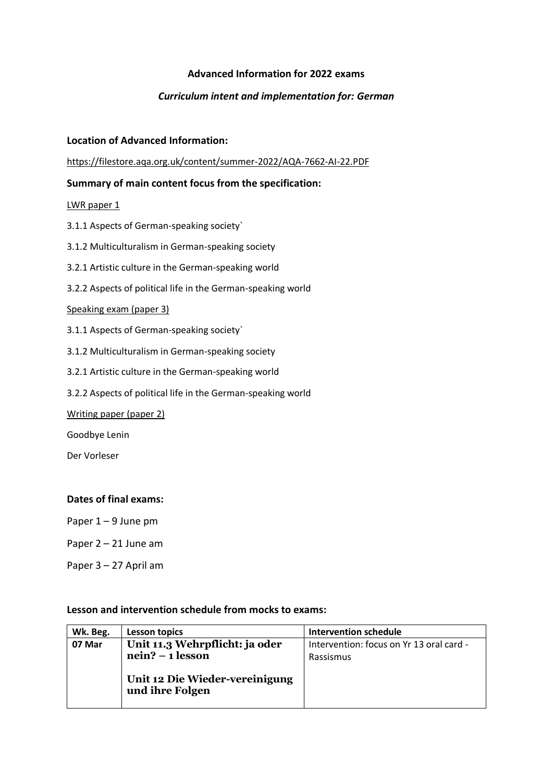# **Advanced Information for 2022 exams**

## *Curriculum intent and implementation for: German*

#### **Location of Advanced Information:**

<https://filestore.aqa.org.uk/content/summer-2022/AQA-7662-AI-22.PDF>

## **Summary of main content focus from the specification:**

LWR paper 1

- 3.1.1 Aspects of German-speaking society`
- 3.1.2 Multiculturalism in German-speaking society
- 3.2.1 Artistic culture in the German-speaking world
- 3.2.2 Aspects of political life in the German-speaking world

#### Speaking exam (paper 3)

- 3.1.1 Aspects of German-speaking society`
- 3.1.2 Multiculturalism in German-speaking society
- 3.2.1 Artistic culture in the German-speaking world
- 3.2.2 Aspects of political life in the German-speaking world

Writing paper (paper 2)

Goodbye Lenin

Der Vorleser

## **Dates of final exams:**

Paper 1 – 9 June pm

- Paper 2 21 June am
- Paper 3 27 April am

#### **Lesson and intervention schedule from mocks to exams:**

| Wk. Beg. | Lesson topics                                     | Intervention schedule                    |
|----------|---------------------------------------------------|------------------------------------------|
| 07 Mar   | Unit 11.3 Wehrpflicht: ja oder                    | Intervention: focus on Yr 13 oral card - |
|          | $nein? - 1$ lesson                                | Rassismus                                |
|          | Unit 12 Die Wieder-vereinigung<br>und ihre Folgen |                                          |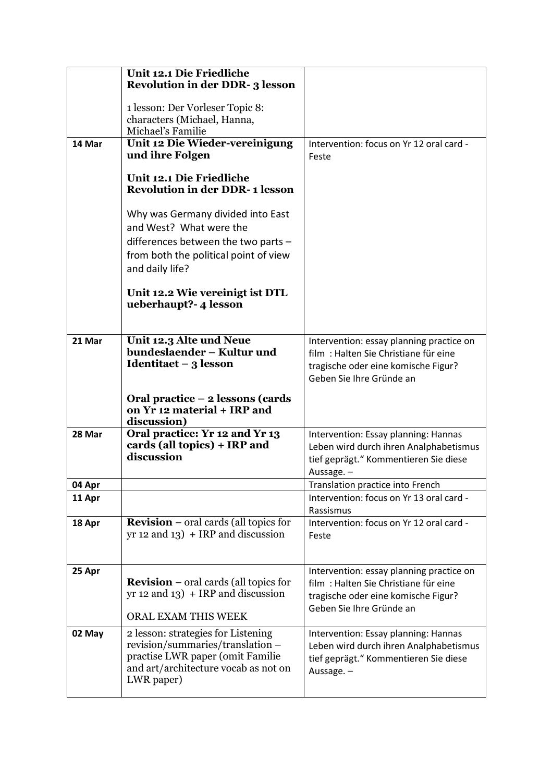|        | Unit 12.1 Die Friedliche                                                             |                                                                                  |
|--------|--------------------------------------------------------------------------------------|----------------------------------------------------------------------------------|
|        | <b>Revolution in der DDR-3 lesson</b>                                                |                                                                                  |
|        | 1 lesson: Der Vorleser Topic 8:                                                      |                                                                                  |
|        | characters (Michael, Hanna,                                                          |                                                                                  |
|        | Michael's Familie                                                                    |                                                                                  |
| 14 Mar | Unit 12 Die Wieder-vereinigung<br>und ihre Folgen                                    | Intervention: focus on Yr 12 oral card -<br>Feste                                |
|        |                                                                                      |                                                                                  |
|        | Unit 12.1 Die Friedliche<br><b>Revolution in der DDR-1 lesson</b>                    |                                                                                  |
|        | Why was Germany divided into East                                                    |                                                                                  |
|        | and West? What were the                                                              |                                                                                  |
|        | differences between the two parts $-$                                                |                                                                                  |
|        | from both the political point of view                                                |                                                                                  |
|        | and daily life?                                                                      |                                                                                  |
|        | Unit 12.2 Wie vereinigt ist DTL<br>ueberhaupt? 4 lesson                              |                                                                                  |
|        |                                                                                      |                                                                                  |
| 21 Mar | Unit 12.3 Alte und Neue<br>bundeslaender - Kultur und                                | Intervention: essay planning practice on<br>film: Halten Sie Christiane für eine |
|        | Identitaet $-3$ lesson                                                               | tragische oder eine komische Figur?                                              |
|        |                                                                                      | Geben Sie Ihre Gründe an                                                         |
|        | Oral practice – 2 lessons (cards                                                     |                                                                                  |
|        | on Yr 12 material + IRP and<br>discussion)                                           |                                                                                  |
| 28 Mar | Oral practice: Yr 12 and Yr 13                                                       | Intervention: Essay planning: Hannas                                             |
|        | cards (all topics) + IRP and<br>discussion                                           | Leben wird durch ihren Analphabetismus                                           |
|        |                                                                                      | tief geprägt." Kommentieren Sie diese<br>Aussage. -                              |
| 04 Apr |                                                                                      | Translation practice into French                                                 |
| 11 Apr |                                                                                      | Intervention: focus on Yr 13 oral card -                                         |
|        |                                                                                      | Rassismus                                                                        |
| 18 Apr | <b>Revision</b> – oral cards (all topics for<br>$yr$ 12 and 13) + IRP and discussion | Intervention: focus on Yr 12 oral card -<br>Feste                                |
| 25 Apr |                                                                                      | Intervention: essay planning practice on                                         |
|        | <b>Revision</b> – oral cards (all topics for                                         | film: Halten Sie Christiane für eine                                             |
|        | $yr$ 12 and 13) + IRP and discussion                                                 | tragische oder eine komische Figur?                                              |
|        | ORAL EXAM THIS WEEK                                                                  | Geben Sie Ihre Gründe an                                                         |
| 02 May | 2 lesson: strategies for Listening                                                   | Intervention: Essay planning: Hannas                                             |
|        | revision/summaries/translation -                                                     | Leben wird durch ihren Analphabetismus                                           |
|        | practise LWR paper (omit Familie                                                     | tief geprägt." Kommentieren Sie diese                                            |
|        | and art/architecture vocab as not on<br>LWR paper)                                   | Aussage. -                                                                       |
|        |                                                                                      |                                                                                  |